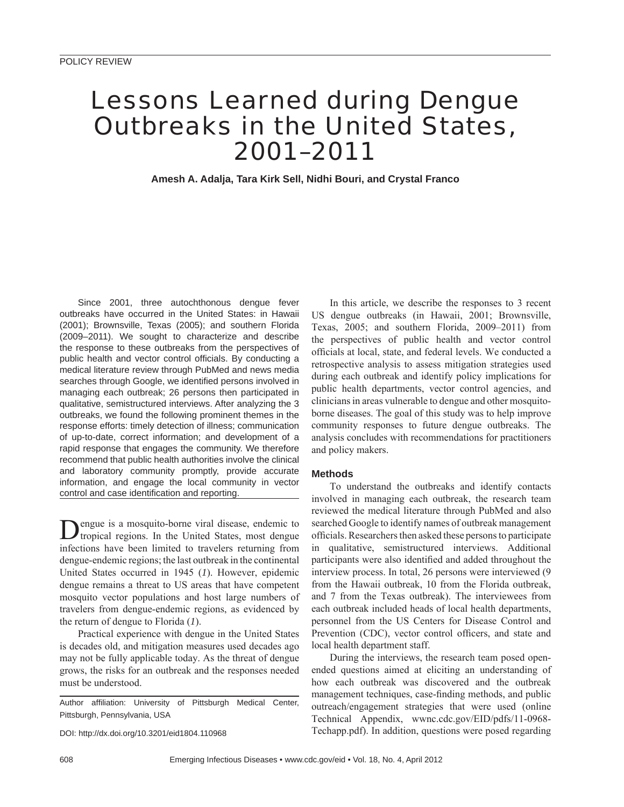# Lessons Learned during Dengue Outbreaks in the United States, 2001–2011

**Amesh A. Adalja, Tara Kirk Sell, Nidhi Bouri, and Crystal Franco**

Since 2001, three autochthonous dengue fever outbreaks have occurred in the United States: in Hawaii (2001); Brownsville, Texas (2005); and southern Florida (2009–2011). We sought to characterize and describe the response to these outbreaks from the perspectives of public health and vector control officials. By conducting a medical literature review through PubMed and news media searches through Google, we identified persons involved in managing each outbreak; 26 persons then participated in qualitative, semistructured interviews. After analyzing the 3 outbreaks, we found the following prominent themes in the response efforts: timely detection of illness; communication of up-to-date, correct information; and development of a rapid response that engages the community. We therefore recommend that public health authorities involve the clinical and laboratory community promptly, provide accurate information, and engage the local community in vector control and case identification and reporting.

Dengue is a mosquito-borne viral disease, endemic to tropical regions. In the United States, most dengue infections have been limited to travelers returning from dengue-endemic regions; the last outbreak in the continental United States occurred in 1945 (*1*). However, epidemic dengue remains a threat to US areas that have competent mosquito vector populations and host large numbers of travelers from dengue-endemic regions, as evidenced by the return of dengue to Florida (*1*).

Practical experience with dengue in the United States is decades old, and mitigation measures used decades ago may not be fully applicable today. As the threat of dengue grows, the risks for an outbreak and the responses needed must be understood.

Author affiliation: University of Pittsburgh Medical Center, Pittsburgh, Pennsylvania, USA

DOI: http://dx.doi.org/10.3201/eid1804.110968

In this article, we describe the responses to 3 recent US dengue outbreaks (in Hawaii, 2001; Brownsville, Texas, 2005; and southern Florida, 2009–2011) from the perspectives of public health and vector control officials at local, state, and federal levels. We conducted a retrospective analysis to assess mitigation strategies used during each outbreak and identify policy implications for public health departments, vector control agencies, and clinicians in areas vulnerable to dengue and other mosquitoborne diseases. The goal of this study was to help improve community responses to future dengue outbreaks. The analysis concludes with recommendations for practitioners and policy makers.

#### **Methods**

To understand the outbreaks and identify contacts involved in managing each outbreak, the research team reviewed the medical literature through PubMed and also searched Google to identify names of outbreak management officials. Researchers then asked these persons to participate in qualitative, semistructured interviews. Additional participants were also identified and added throughout the interview process. In total, 26 persons were interviewed (9 from the Hawaii outbreak, 10 from the Florida outbreak, and 7 from the Texas outbreak). The interviewees from each outbreak included heads of local health departments, personnel from the US Centers for Disease Control and Prevention (CDC), vector control officers, and state and local health department staff.

During the interviews, the research team posed openended questions aimed at eliciting an understanding of how each outbreak was discovered and the outbreak management techniques, case-finding methods, and public outreach/engagement strategies that were used (online Technical Appendix, wwnc.cdc.gov/EID/pdfs/11-0968- Techapp.pdf). In addition, questions were posed regarding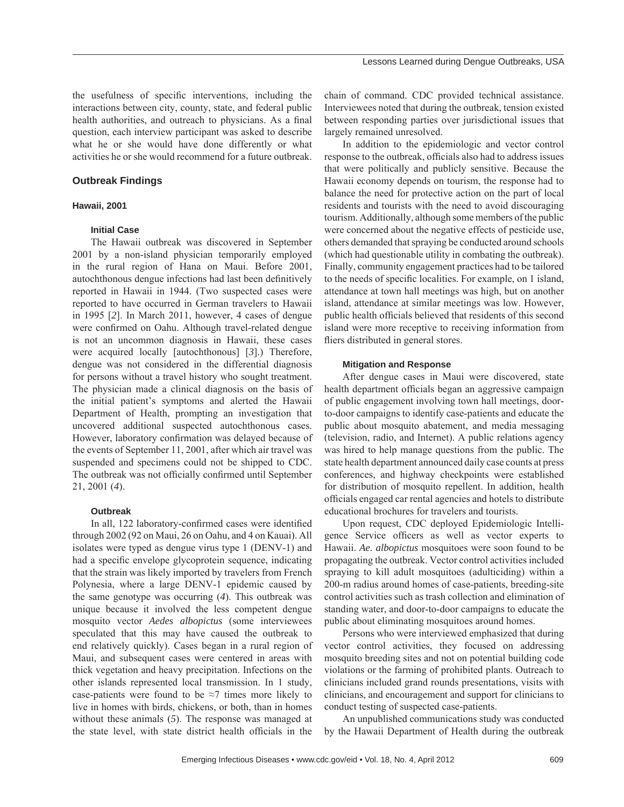the usefulness of specific interventions, including the interactions between city, county, state, and federal public health authorities, and outreach to physicians. As a final question, each interview participant was asked to describe what he or she would have done differently or what activities he or she would recommend for a future outbreak.

# **Outbreak Findings**

## **Hawaii, 2001**

# **Initial Case**

The Hawaii outbreak was discovered in September 2001 by a non-island physician temporarily employed in the rural region of Hana on Maui. Before 2001, autochthonous dengue infections had last been definitively reported in Hawaii in 1944. (Two suspected cases were reported to have occurred in German travelers to Hawaii in 1995 [*2*]. In March 2011, however, 4 cases of dengue were confirmed on Oahu. Although travel-related dengue is not an uncommon diagnosis in Hawaii, these cases were acquired locally [autochthonous] [*3*].) Therefore, dengue was not considered in the differential diagnosis for persons without a travel history who sought treatment. The physician made a clinical diagnosis on the basis of the initial patient's symptoms and alerted the Hawaii Department of Health, prompting an investigation that uncovered additional suspected autochthonous cases. However, laboratory confirmation was delayed because of the events of September 11, 2001, after which air travel was suspended and specimens could not be shipped to CDC. The outbreak was not officially confirmed until September 21, 2001 (*4*).

## **Outbreak**

In all, 122 laboratory-confirmed cases were identified through 2002 (92 on Maui, 26 on Oahu, and 4 on Kauai). All isolates were typed as dengue virus type 1 (DENV-1) and had a specific envelope glycoprotein sequence, indicating that the strain was likely imported by travelers from French Polynesia, where a large DENV-1 epidemic caused by the same genotype was occurring (*4*). This outbreak was unique because it involved the less competent dengue mosquito vector *Aedes albopictus* (some interviewees speculated that this may have caused the outbreak to end relatively quickly). Cases began in a rural region of Maui, and subsequent cases were centered in areas with thick vegetation and heavy precipitation. Infections on the other islands represented local transmission. In 1 study, case-patients were found to be  $\approx$ 7 times more likely to live in homes with birds, chickens, or both, than in homes without these animals (*5*). The response was managed at the state level, with state district health officials in the

chain of command. CDC provided technical assistance. Interviewees noted that during the outbreak, tension existed between responding parties over jurisdictional issues that largely remained unresolved.

In addition to the epidemiologic and vector control response to the outbreak, officials also had to address issues that were politically and publicly sensitive. Because the Hawaii economy depends on tourism, the response had to balance the need for protective action on the part of local residents and tourists with the need to avoid discouraging tourism. Additionally, although some members of the public were concerned about the negative effects of pesticide use, others demanded that spraying be conducted around schools (which had questionable utility in combating the outbreak). Finally, community engagement practices had to be tailored to the needs of specific localities. For example, on 1 island, attendance at town hall meetings was high, but on another island, attendance at similar meetings was low. However, public health officials believed that residents of this second island were more receptive to receiving information from fliers distributed in general stores.

## **Mitigation and Response**

After dengue cases in Maui were discovered, state health department officials began an aggressive campaign of public engagement involving town hall meetings, doorto-door campaigns to identify case-patients and educate the public about mosquito abatement, and media messaging (television, radio, and Internet). A public relations agency was hired to help manage questions from the public. The state health department announced daily case counts at press conferences, and highway checkpoints were established for distribution of mosquito repellent. In addition, health officials engaged car rental agencies and hotels to distribute educational brochures for travelers and tourists.

Upon request, CDC deployed Epidemiologic Intelligence Service officers as well as vector experts to Hawaii. *Ae. albopictus* mosquitoes were soon found to be propagating the outbreak. Vector control activities included spraying to kill adult mosquitoes (adulticiding) within a 200-m radius around homes of case-patients, breeding-site control activities such as trash collection and elimination of standing water, and door-to-door campaigns to educate the public about eliminating mosquitoes around homes.

Persons who were interviewed emphasized that during vector control activities, they focused on addressing mosquito breeding sites and not on potential building code violations or the farming of prohibited plants. Outreach to clinicians included grand rounds presentations, visits with clinicians, and encouragement and support for clinicians to conduct testing of suspected case-patients.

An unpublished communications study was conducted by the Hawaii Department of Health during the outbreak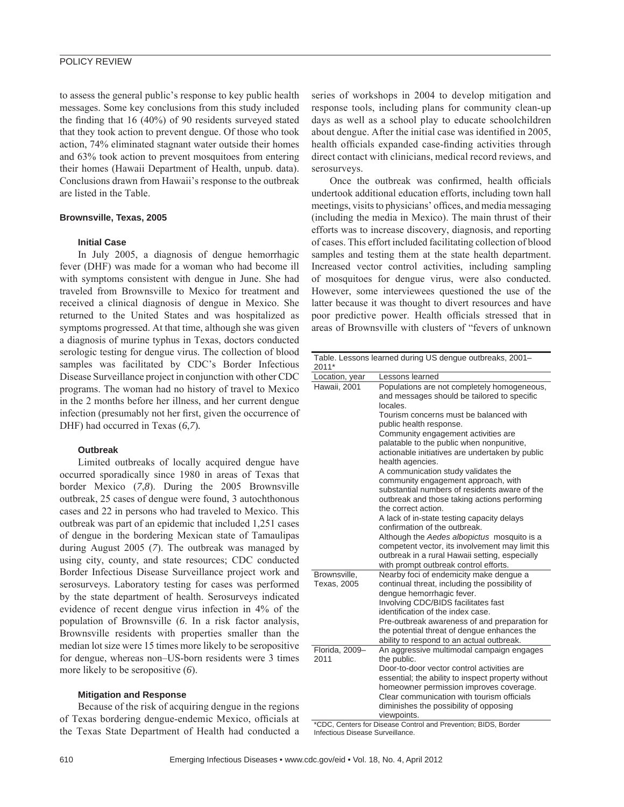# POLICY REVIEW

to assess the general public's response to key public health messages. Some key conclusions from this study included the finding that  $16 \ (40\%)$  of 90 residents surveyed stated that they took action to prevent dengue. Of those who took action, 74% eliminated stagnant water outside their homes and 63% took action to prevent mosquitoes from entering their homes (Hawaii Department of Health, unpub. data). Conclusions drawn from Hawaii's response to the outbreak are listed in the Table.

#### **Brownsville, Texas, 2005**

#### **Initial Case**

In July 2005, a diagnosis of dengue hemorrhagic fever (DHF) was made for a woman who had become ill with symptoms consistent with dengue in June. She had traveled from Brownsville to Mexico for treatment and received a clinical diagnosis of dengue in Mexico. She returned to the United States and was hospitalized as symptoms progressed. At that time, although she was given a diagnosis of murine typhus in Texas, doctors conducted serologic testing for dengue virus. The collection of blood samples was facilitated by CDC's Border Infectious Disease Surveillance project in conjunction with other CDC programs. The woman had no history of travel to Mexico in the 2 months before her illness, and her current dengue infection (presumably not her first, given the occurrence of DHF) had occurred in Texas (*6*,*7*)*.* 

## **Outbreak**

Limited outbreaks of locally acquired dengue have occurred sporadically since 1980 in areas of Texas that border Mexico (*7*,*8*). During the 2005 Brownsville outbreak, 25 cases of dengue were found, 3 autochthonous cases and 22 in persons who had traveled to Mexico. This outbreak was part of an epidemic that included 1,251 cases of dengue in the bordering Mexican state of Tamaulipas during August 2005 (*7*). The outbreak was managed by using city, county, and state resources; CDC conducted Border Infectious Disease Surveillance project work and serosurveys. Laboratory testing for cases was performed by the state department of health. Serosurveys indicated evidence of recent dengue virus infection in 4% of the population of Brownsville (*6*. In a risk factor analysis, Brownsville residents with properties smaller than the median lot size were 15 times more likely to be seropositive for dengue, whereas non–US-born residents were 3 times more likely to be seropositive (*6*).

## **Mitigation and Response**

Because of the risk of acquiring dengue in the regions of Texas bordering dengue-endemic Mexico, officials at the Texas State Department of Health had conducted a series of workshops in 2004 to develop mitigation and response tools, including plans for community clean-up days as well as a school play to educate schoolchildren about dengue. After the initial case was identified in 2005, health officials expanded case-finding activities through direct contact with clinicians, medical record reviews, and serosurveys.

Once the outbreak was confirmed, health officials undertook additional education efforts, including town hall meetings, visits to physicians' offices, and media messaging (including the media in Mexico). The main thrust of their efforts was to increase discovery, diagnosis, and reporting of cases. This effort included facilitating collection of blood samples and testing them at the state health department. Increased vector control activities, including sampling of mosquitoes for dengue virus, were also conducted. However, some interviewees questioned the use of the latter because it was thought to divert resources and have poor predictive power. Health officials stressed that in areas of Brownsville with clusters of "fevers of unknown

| Table. Lessons learned during US dengue outbreaks, 2001-<br>2011* |                                                                                                                                                                                                                                                                                                                                                                                                                                                                                                                                                                                                                                                                                                                                                                                  |
|-------------------------------------------------------------------|----------------------------------------------------------------------------------------------------------------------------------------------------------------------------------------------------------------------------------------------------------------------------------------------------------------------------------------------------------------------------------------------------------------------------------------------------------------------------------------------------------------------------------------------------------------------------------------------------------------------------------------------------------------------------------------------------------------------------------------------------------------------------------|
| Location, year                                                    | Lessons learned                                                                                                                                                                                                                                                                                                                                                                                                                                                                                                                                                                                                                                                                                                                                                                  |
| Hawaii, 2001                                                      | Populations are not completely homogeneous,<br>and messages should be tailored to specific<br>locales.<br>Tourism concerns must be balanced with<br>public health response.<br>Community engagement activities are<br>palatable to the public when nonpunitive,<br>actionable initiatives are undertaken by public<br>health agencies.<br>A communication study validates the<br>community engagement approach, with<br>substantial numbers of residents aware of the<br>outbreak and those taking actions performing<br>the correct action.<br>A lack of in-state testing capacity delays<br>confirmation of the outbreak.<br>Although the Aedes albopictus mosquito is a<br>competent vector, its involvement may limit this<br>outbreak in a rural Hawaii setting, especially |
| Brownsville,<br><b>Texas, 2005</b>                                | with prompt outbreak control efforts.<br>Nearby foci of endemicity make dengue a<br>continual threat, including the possibility of<br>dengue hemorrhagic fever.<br>Involving CDC/BIDS facilitates fast<br>identification of the index case.<br>Pre-outbreak awareness of and preparation for<br>the potential threat of dengue enhances the<br>ability to respond to an actual outbreak.                                                                                                                                                                                                                                                                                                                                                                                         |
| Florida, 2009-<br>2011                                            | An aggressive multimodal campaign engages<br>the public.<br>Door-to-door vector control activities are<br>essential; the ability to inspect property without<br>homeowner permission improves coverage.<br>Clear communication with tourism officials<br>diminishes the possibility of opposing<br>viewpoints.                                                                                                                                                                                                                                                                                                                                                                                                                                                                   |

\*CDC, Centers for Disease Control and Prevention; BIDS, Border Infectious Disease Surveillance.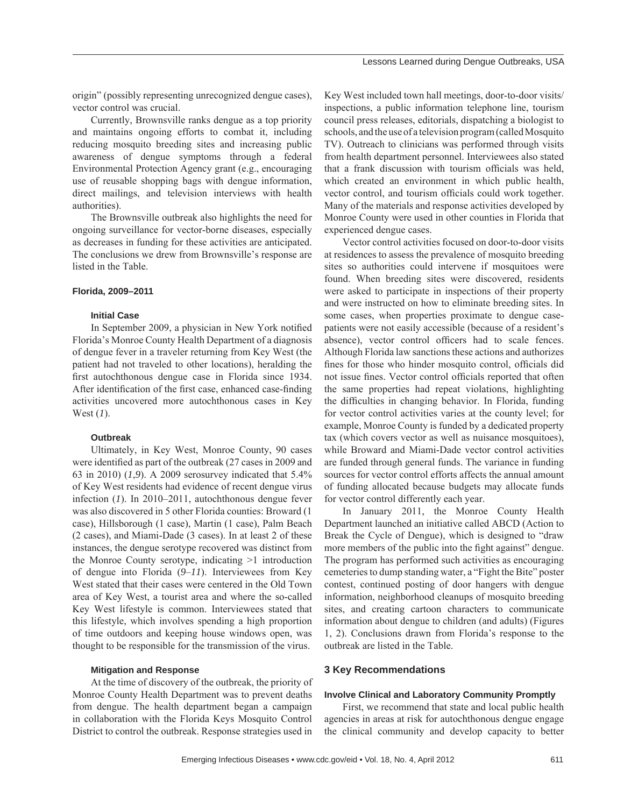origin" (possibly representing unrecognized dengue cases), vector control was crucial.

Currently, Brownsville ranks dengue as a top priority and maintains ongoing efforts to combat it, including reducing mosquito breeding sites and increasing public awareness of dengue symptoms through a federal Environmental Protection Agency grant (e.g., encouraging use of reusable shopping bags with dengue information, direct mailings, and television interviews with health authorities).

The Brownsville outbreak also highlights the need for ongoing surveillance for vector-borne diseases, especially as decreases in funding for these activities are anticipated. The conclusions we drew from Brownsville's response are listed in the Table.

## **Florida, 2009–2011**

## **Initial Case**

In September 2009, a physician in New York notified Florida's Monroe County Health Department of a diagnosis of dengue fever in a traveler returning from Key West (the patient had not traveled to other locations), heralding the first autochthonous dengue case in Florida since 1934. After identification of the first case, enhanced case-finding activities uncovered more autochthonous cases in Key West (*1*).

#### **Outbreak**

Ultimately, in Key West, Monroe County, 90 cases were identified as part of the outbreak (27 cases in 2009 and 63 in 2010) (*1*,*9*). A 2009 serosurvey indicated that 5.4% of Key West residents had evidence of recent dengue virus infection (*1*). In 2010–2011, autochthonous dengue fever was also discovered in 5 other Florida counties: Broward (1 case), Hillsborough (1 case), Martin (1 case), Palm Beach (2 cases), and Miami-Dade (3 cases). In at least 2 of these instances, the dengue serotype recovered was distinct from the Monroe County serotype, indicating >1 introduction of dengue into Florida (*9*–*11*). Interviewees from Key West stated that their cases were centered in the Old Town area of Key West, a tourist area and where the so-called Key West lifestyle is common. Interviewees stated that this lifestyle, which involves spending a high proportion of time outdoors and keeping house windows open, was thought to be responsible for the transmission of the virus.

#### **Mitigation and Response**

At the time of discovery of the outbreak, the priority of Monroe County Health Department was to prevent deaths from dengue. The health department began a campaign in collaboration with the Florida Keys Mosquito Control District to control the outbreak. Response strategies used in

Key West included town hall meetings, door-to-door visits/ inspections, a public information telephone line, tourism council press releases, editorials, dispatching a biologist to schools, and the use of a television program (called Mosquito TV). Outreach to clinicians was performed through visits from health department personnel. Interviewees also stated that a frank discussion with tourism officials was held, which created an environment in which public health, vector control, and tourism officials could work together. Many of the materials and response activities developed by Monroe County were used in other counties in Florida that experienced dengue cases.

Vector control activities focused on door-to-door visits at residences to assess the prevalence of mosquito breeding sites so authorities could intervene if mosquitoes were found. When breeding sites were discovered, residents were asked to participate in inspections of their property and were instructed on how to eliminate breeding sites. In some cases, when properties proximate to dengue casepatients were not easily accessible (because of a resident's absence), vector control officers had to scale fences. Although Florida law sanctions these actions and authorizes fines for those who hinder mosquito control, officials did not issue fines. Vector control officials reported that often the same properties had repeat violations, highlighting the difficulties in changing behavior. In Florida, funding for vector control activities varies at the county level; for example, Monroe County is funded by a dedicated property tax (which covers vector as well as nuisance mosquitoes), while Broward and Miami-Dade vector control activities are funded through general funds. The variance in funding sources for vector control efforts affects the annual amount of funding allocated because budgets may allocate funds for vector control differently each year.

In January 2011, the Monroe County Health Department launched an initiative called ABCD (Action to Break the Cycle of Dengue), which is designed to "draw more members of the public into the fight against" dengue. The program has performed such activities as encouraging cemeteries to dump standing water, a "Fight the Bite" poster contest, continued posting of door hangers with dengue information, neighborhood cleanups of mosquito breeding sites, and creating cartoon characters to communicate information about dengue to children (and adults) (Figures 1, 2). Conclusions drawn from Florida's response to the outbreak are listed in the Table.

## **3 Key Recommendations**

## **Involve Clinical and Laboratory Community Promptly**

First, we recommend that state and local public health agencies in areas at risk for autochthonous dengue engage the clinical community and develop capacity to better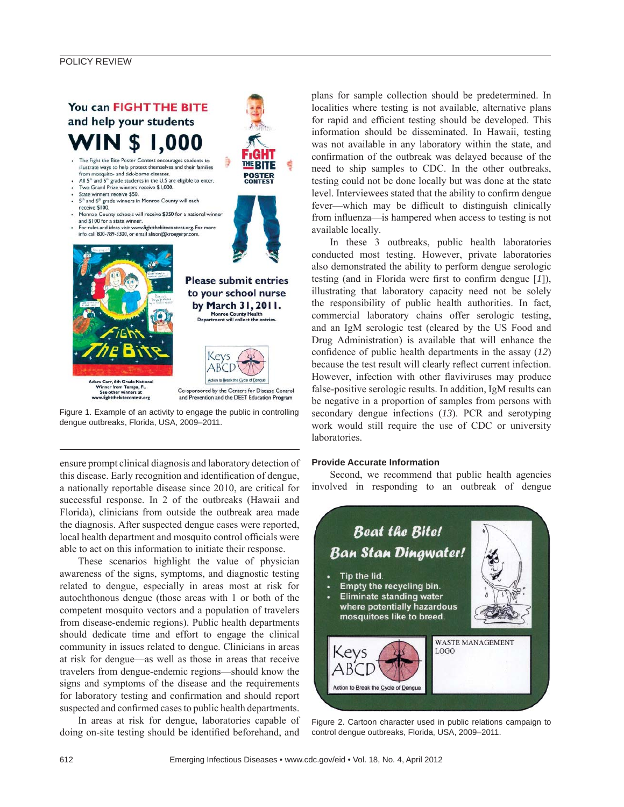

Figure 1. Example of an activity to engage the public in controlling dengue outbreaks, Florida, USA, 2009–2011.

ensure prompt clinical diagnosis and laboratory detection of this disease. Early recognition and identification of dengue, a nationally reportable disease since 2010, are critical for successful response. In 2 of the outbreaks (Hawaii and Florida), clinicians from outside the outbreak area made the diagnosis. After suspected dengue cases were reported, local health department and mosquito control officials were able to act on this information to initiate their response.

These scenarios highlight the value of physician awareness of the signs, symptoms, and diagnostic testing related to dengue, especially in areas most at risk for autochthonous dengue (those areas with 1 or both of the competent mosquito vectors and a population of travelers from disease-endemic regions). Public health departments should dedicate time and effort to engage the clinical community in issues related to dengue. Clinicians in areas at risk for dengue—as well as those in areas that receive travelers from dengue-endemic regions—should know the signs and symptoms of the disease and the requirements for laboratory testing and confirmation and should report suspected and confirmed cases to public health departments.

In areas at risk for dengue, laboratories capable of doing on-site testing should be identified beforehand, and

plans for sample collection should be predetermined. In localities where testing is not available, alternative plans for rapid and efficient testing should be developed. This information should be disseminated. In Hawaii, testing was not available in any laboratory within the state, and confirmation of the outbreak was delayed because of the need to ship samples to CDC. In the other outbreaks, testing could not be done locally but was done at the state level. Interviewees stated that the ability to confirm dengue fever—which may be difficult to distinguish clinically from influenza—is hampered when access to testing is not available locally.

In these 3 outbreaks, public health laboratories conducted most testing. However, private laboratories also demonstrated the ability to perform dengue serologic testing (and in Florida were first to confirm dengue  $[1]$ ), illustrating that laboratory capacity need not be solely the responsibility of public health authorities. In fact, commercial laboratory chains offer serologic testing, and an IgM serologic test (cleared by the US Food and Drug Administration) is available that will enhance the confidence of public health departments in the assay (12) because the test result will clearly reflect current infection. However, infection with other flaviviruses may produce false-positive serologic results. In addition, IgM results can be negative in a proportion of samples from persons with secondary dengue infections (*13*). PCR and serotyping work would still require the use of CDC or university laboratories.

#### **Provide Accurate Information**

Second, we recommend that public health agencies involved in responding to an outbreak of dengue



Figure 2. Cartoon character used in public relations campaign to control dengue outbreaks, Florida, USA, 2009–2011.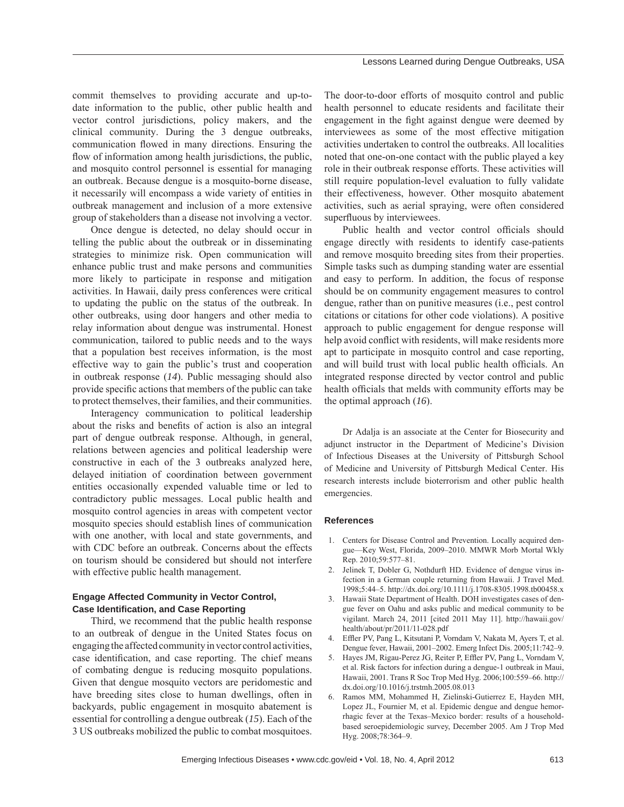commit themselves to providing accurate and up-todate information to the public, other public health and vector control jurisdictions, policy makers, and the clinical community. During the 3 dengue outbreaks, communication flowed in many directions. Ensuring the flow of information among health jurisdictions, the public, and mosquito control personnel is essential for managing an outbreak. Because dengue is a mosquito-borne disease, it necessarily will encompass a wide variety of entities in outbreak management and inclusion of a more extensive group of stakeholders than a disease not involving a vector.

Once dengue is detected, no delay should occur in telling the public about the outbreak or in disseminating strategies to minimize risk. Open communication will enhance public trust and make persons and communities more likely to participate in response and mitigation activities. In Hawaii, daily press conferences were critical to updating the public on the status of the outbreak. In other outbreaks, using door hangers and other media to relay information about dengue was instrumental. Honest communication, tailored to public needs and to the ways that a population best receives information, is the most effective way to gain the public's trust and cooperation in outbreak response (*14*). Public messaging should also provide specific actions that members of the public can take to protect themselves, their families, and their communities.

Interagency communication to political leadership about the risks and benefits of action is also an integral part of dengue outbreak response. Although, in general, relations between agencies and political leadership were constructive in each of the 3 outbreaks analyzed here, delayed initiation of coordination between government entities occasionally expended valuable time or led to contradictory public messages. Local public health and mosquito control agencies in areas with competent vector mosquito species should establish lines of communication with one another, with local and state governments, and with CDC before an outbreak. Concerns about the effects on tourism should be considered but should not interfere with effective public health management.

## **Engage Affected Community in Vector Control, Case Identifi cation, and Case Reporting**

Third, we recommend that the public health response to an outbreak of dengue in the United States focus on engaging the affected community in vector control activities, case identification, and case reporting. The chief means of combating dengue is reducing mosquito populations. Given that dengue mosquito vectors are peridomestic and have breeding sites close to human dwellings, often in backyards, public engagement in mosquito abatement is essential for controlling a dengue outbreak (*15*). Each of the 3 US outbreaks mobilized the public to combat mosquitoes.

The door-to-door efforts of mosquito control and public health personnel to educate residents and facilitate their engagement in the fight against dengue were deemed by interviewees as some of the most effective mitigation activities undertaken to control the outbreaks. All localities noted that one-on-one contact with the public played a key role in their outbreak response efforts. These activities will still require population-level evaluation to fully validate their effectiveness, however. Other mosquito abatement activities, such as aerial spraying, were often considered superfluous by interviewees.

Public health and vector control officials should engage directly with residents to identify case-patients and remove mosquito breeding sites from their properties. Simple tasks such as dumping standing water are essential and easy to perform. In addition, the focus of response should be on community engagement measures to control dengue, rather than on punitive measures (i.e., pest control citations or citations for other code violations). A positive approach to public engagement for dengue response will help avoid conflict with residents, will make residents more apt to participate in mosquito control and case reporting, and will build trust with local public health officials. An integrated response directed by vector control and public health officials that melds with community efforts may be the optimal approach (*16*).

Dr Adalja is an associate at the Center for Biosecurity and adjunct instructor in the Department of Medicine's Division of Infectious Diseases at the University of Pittsburgh School of Medicine and University of Pittsburgh Medical Center. His research interests include bioterrorism and other public health emergencies.

## **References**

- 1. Centers for Disease Control and Prevention. Locally acquired dengue—Key West, Florida, 2009–2010. MMWR Morb Mortal Wkly Rep. 2010;59:577–81.
- 2. Jelinek T, Dobler G, Nothdurft HD. Evidence of dengue virus infection in a German couple returning from Hawaii. J Travel Med. 1998;5:44–5. http://dx.doi.org/10.1111/j.1708-8305.1998.tb00458.x
- 3. Hawaii State Department of Health. DOH investigates cases of dengue fever on Oahu and asks public and medical community to be vigilant. March 24, 2011 [cited 2011 May 11]. http://hawaii.gov/ health/about/pr/2011/11-028.pdf
- 4. Effler PV, Pang L, Kitsutani P, Vorndam V, Nakata M, Ayers T, et al. Dengue fever, Hawaii, 2001–2002. Emerg Infect Dis. 2005;11:742–9.
- 5. Hayes JM, Rigau-Perez JG, Reiter P, Effler PV, Pang L, Vorndam V, et al. Risk factors for infection during a dengue-1 outbreak in Maui, Hawaii, 2001. Trans R Soc Trop Med Hyg. 2006;100:559–66. http:// dx.doi.org/10.1016/j.trstmh.2005.08.013
- 6. Ramos MM, Mohammed H, Zielinski-Gutierrez E, Hayden MH, Lopez JL, Fournier M, et al. Epidemic dengue and dengue hemorrhagic fever at the Texas–Mexico border: results of a householdbased seroepidemiologic survey, December 2005. Am J Trop Med Hyg. 2008;78:364–9.